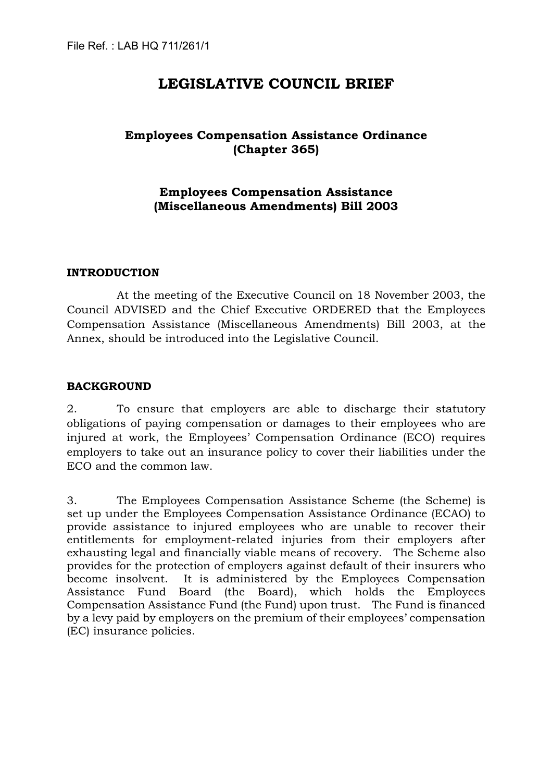# **LEGISLATIVE COUNCIL BRIEF**

## **Employees Compensation Assistance Ordinance (Chapter 365)**

## **Employees Compensation Assistance (Miscellaneous Amendments) Bill 2003**

## **INTRODUCTION**

At the meeting of the Executive Council on 18 November 2003, the Council ADVISED and the Chief Executive ORDERED that the Employees Compensation Assistance (Miscellaneous Amendments) Bill 2003, at the Annex, should be introduced into the Legislative Council.

## **BACKGROUND**

2. To ensure that employers are able to discharge their statutory obligations of paying compensation or damages to their employees who are injured at work, the Employees' Compensation Ordinance (ECO) requires employers to take out an insurance policy to cover their liabilities under the ECO and the common law.

3. The Employees Compensation Assistance Scheme (the Scheme) is set up under the Employees Compensation Assistance Ordinance (ECAO) to provide assistance to injured employees who are unable to recover their entitlements for employment-related injuries from their employers after exhausting legal and financially viable means of recovery. The Scheme also provides for the protection of employers against default of their insurers who become insolvent. It is administered by the Employees Compensation Assistance Fund Board (the Board), which holds the Employees Compensation Assistance Fund (the Fund) upon trust. The Fund is financed by a levy paid by employers on the premium of their employees' compensation (EC) insurance policies.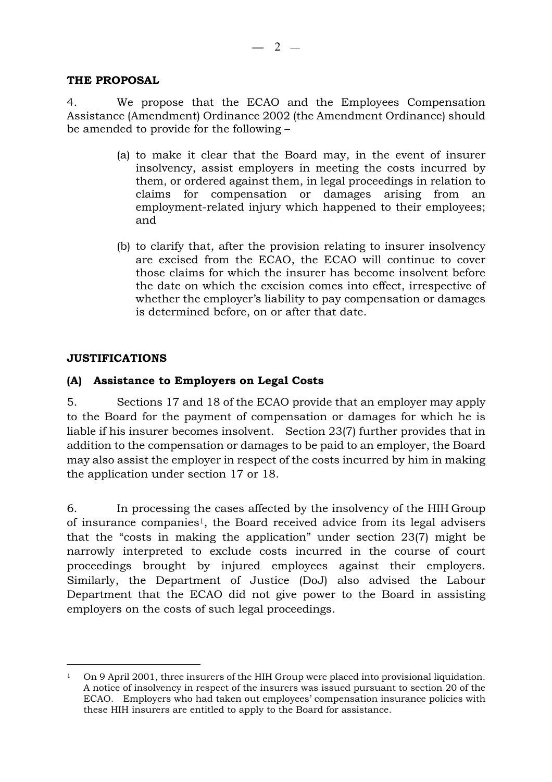## **THE PROPOSAL**

4. We propose that the ECAO and the Employees Compensation Assistance (Amendment) Ordinance 2002 (the Amendment Ordinance) should be amended to provide for the following –

- (a) to make it clear that the Board may, in the event of insurer insolvency, assist employers in meeting the costs incurred by them, or ordered against them, in legal proceedings in relation to claims for compensation or damages arising from an employment-related injury which happened to their employees; and
- (b) to clarify that, after the provision relating to insurer insolvency are excised from the ECAO, the ECAO will continue to cover those claims for which the insurer has become insolvent before the date on which the excision comes into effect, irrespective of whether the employer's liability to pay compensation or damages is determined before, on or after that date.

## **JUSTIFICATIONS**

 $\overline{a}$ 

## **(A) Assistance to Employers on Legal Costs**

5. Sections 17 and 18 of the ECAO provide that an employer may apply to the Board for the payment of compensation or damages for which he is liable if his insurer becomes insolvent. Section 23(7) further provides that in addition to the compensation or damages to be paid to an employer, the Board may also assist the employer in respect of the costs incurred by him in making the application under section 17 or 18.

6. In processing the cases affected by the insolvency of the HIH Group of insurance companies[1,](#page-1-0) the Board received advice from its legal advisers that the "costs in making the application" under section 23(7) might be narrowly interpreted to exclude costs incurred in the course of court proceedings brought by injured employees against their employers. Similarly, the Department of Justice (DoJ) also advised the Labour Department that the ECAO did not give power to the Board in assisting employers on the costs of such legal proceedings.

<span id="page-1-0"></span><sup>1</sup> On 9 April 2001, three insurers of the HIH Group were placed into provisional liquidation. A notice of insolvency in respect of the insurers was issued pursuant to section 20 of the ECAO. Employers who had taken out employees' compensation insurance policies with these HIH insurers are entitled to apply to the Board for assistance.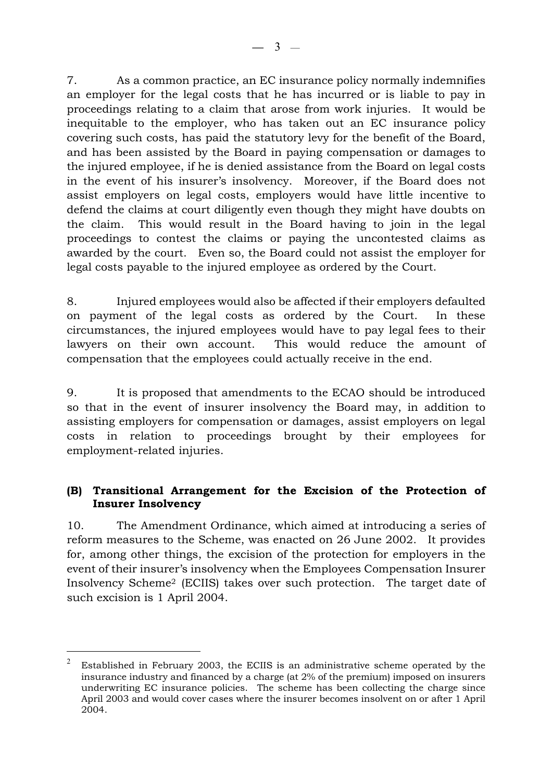7. As a common practice, an EC insurance policy normally indemnifies an employer for the legal costs that he has incurred or is liable to pay in proceedings relating to a claim that arose from work injuries. It would be inequitable to the employer, who has taken out an EC insurance policy covering such costs, has paid the statutory levy for the benefit of the Board, and has been assisted by the Board in paying compensation or damages to the injured employee, if he is denied assistance from the Board on legal costs in the event of his insurer's insolvency. Moreover, if the Board does not assist employers on legal costs, employers would have little incentive to defend the claims at court diligently even though they might have doubts on the claim. This would result in the Board having to join in the legal proceedings to contest the claims or paying the uncontested claims as awarded by the court. Even so, the Board could not assist the employer for legal costs payable to the injured employee as ordered by the Court.

8. Injured employees would also be affected if their employers defaulted on payment of the legal costs as ordered by the Court. In these circumstances, the injured employees would have to pay legal fees to their lawyers on their own account. This would reduce the amount of compensation that the employees could actually receive in the end.

9. It is proposed that amendments to the ECAO should be introduced so that in the event of insurer insolvency the Board may, in addition to assisting employers for compensation or damages, assist employers on legal costs in relation to proceedings brought by their employees for employment-related injuries.

## **(B) Transitional Arrangement for the Excision of the Protection of Insurer Insolvency**

10. The Amendment Ordinance, which aimed at introducing a series of reform measures to the Scheme, was enacted on 26 June 2002. It provides for, among other things, the excision of the protection for employers in the event of their insurer's insolvency when the Employees Compensation Insurer Insolvency Scheme[2](#page-2-0) (ECIIS) takes over such protection. The target date of such excision is 1 April 2004.

 $\overline{a}$ 

<span id="page-2-0"></span><sup>2</sup> Established in February 2003, the ECIIS is an administrative scheme operated by the insurance industry and financed by a charge (at 2% of the premium) imposed on insurers underwriting EC insurance policies. The scheme has been collecting the charge since April 2003 and would cover cases where the insurer becomes insolvent on or after 1 April 2004.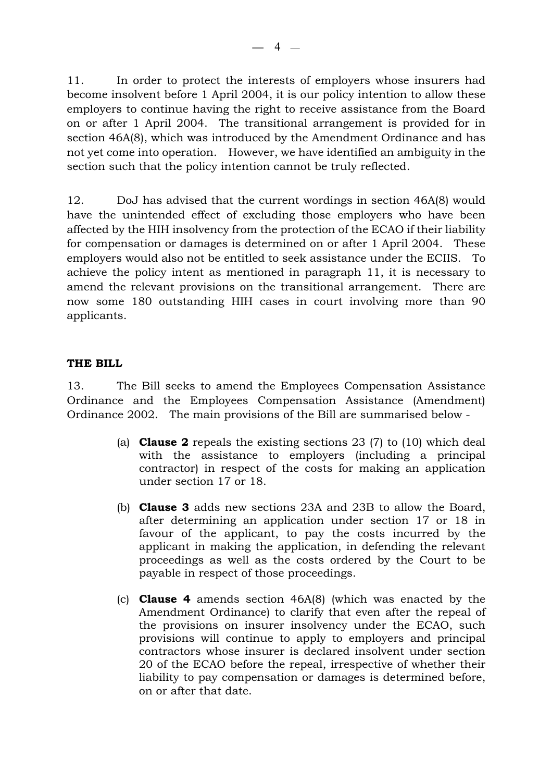11. In order to protect the interests of employers whose insurers had become insolvent before 1 April 2004, it is our policy intention to allow these employers to continue having the right to receive assistance from the Board on or after 1 April 2004. The transitional arrangement is provided for in section 46A(8), which was introduced by the Amendment Ordinance and has not yet come into operation. However, we have identified an ambiguity in the section such that the policy intention cannot be truly reflected.

12. DoJ has advised that the current wordings in section 46A(8) would have the unintended effect of excluding those employers who have been affected by the HIH insolvency from the protection of the ECAO if their liability for compensation or damages is determined on or after 1 April 2004. These employers would also not be entitled to seek assistance under the ECIIS. To achieve the policy intent as mentioned in paragraph 11, it is necessary to amend the relevant provisions on the transitional arrangement. There are now some 180 outstanding HIH cases in court involving more than 90 applicants.

## **THE BILL**

13. The Bill seeks to amend the Employees Compensation Assistance Ordinance and the Employees Compensation Assistance (Amendment) Ordinance 2002. The main provisions of the Bill are summarised below -

- (a) **Clause 2** repeals the existing sections 23 (7) to (10) which deal with the assistance to employers (including a principal contractor) in respect of the costs for making an application under section 17 or 18.
- (b) **Clause 3** adds new sections 23A and 23B to allow the Board, after determining an application under section 17 or 18 in favour of the applicant, to pay the costs incurred by the applicant in making the application, in defending the relevant proceedings as well as the costs ordered by the Court to be payable in respect of those proceedings.
- (c) **Clause 4** amends section 46A(8) (which was enacted by the Amendment Ordinance) to clarify that even after the repeal of the provisions on insurer insolvency under the ECAO, such provisions will continue to apply to employers and principal contractors whose insurer is declared insolvent under section 20 of the ECAO before the repeal, irrespective of whether their liability to pay compensation or damages is determined before, on or after that date.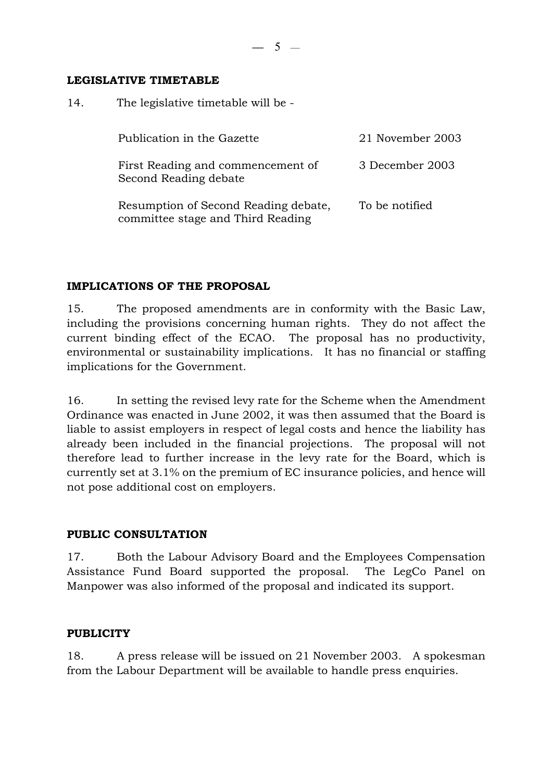**—** 5 —

## **LEGISLATIVE TIMETABLE**

14. The legislative timetable will be -

| Publication in the Gazette                                                | 21 November 2003 |
|---------------------------------------------------------------------------|------------------|
| First Reading and commencement of<br>Second Reading debate                | 3 December 2003  |
| Resumption of Second Reading debate,<br>committee stage and Third Reading | To be notified   |

## **IMPLICATIONS OF THE PROPOSAL**

15. The proposed amendments are in conformity with the Basic Law, including the provisions concerning human rights. They do not affect the current binding effect of the ECAO. The proposal has no productivity, environmental or sustainability implications. It has no financial or staffing implications for the Government.

16. In setting the revised levy rate for the Scheme when the Amendment Ordinance was enacted in June 2002, it was then assumed that the Board is liable to assist employers in respect of legal costs and hence the liability has already been included in the financial projections. The proposal will not therefore lead to further increase in the levy rate for the Board, which is currently set at 3.1% on the premium of EC insurance policies, and hence will not pose additional cost on employers.

## **PUBLIC CONSULTATION**

17. Both the Labour Advisory Board and the Employees Compensation Assistance Fund Board supported the proposal. The LegCo Panel on Manpower was also informed of the proposal and indicated its support.

## **PUBLICITY**

18. A press release will be issued on 21 November 2003. A spokesman from the Labour Department will be available to handle press enquiries.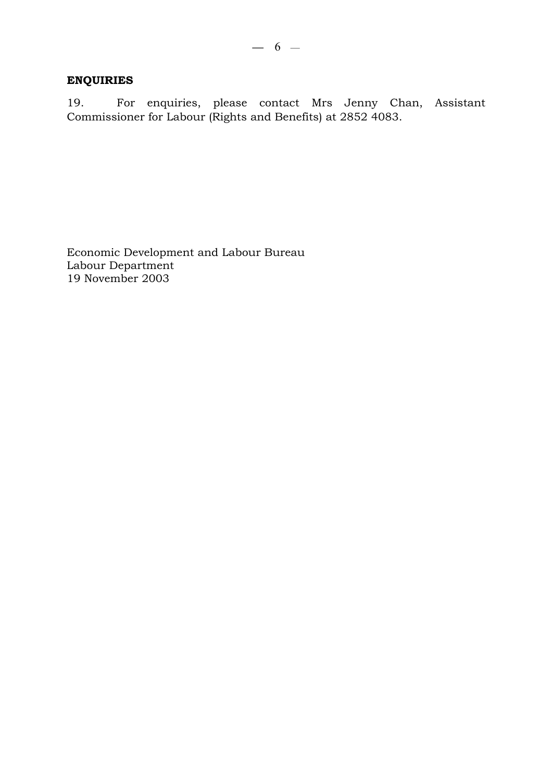## **ENQUIRIES**

19. For enquiries, please contact Mrs Jenny Chan, Assistant Commissioner for Labour (Rights and Benefits) at 2852 4083.

Economic Development and Labour Bureau Labour Department 19 November 2003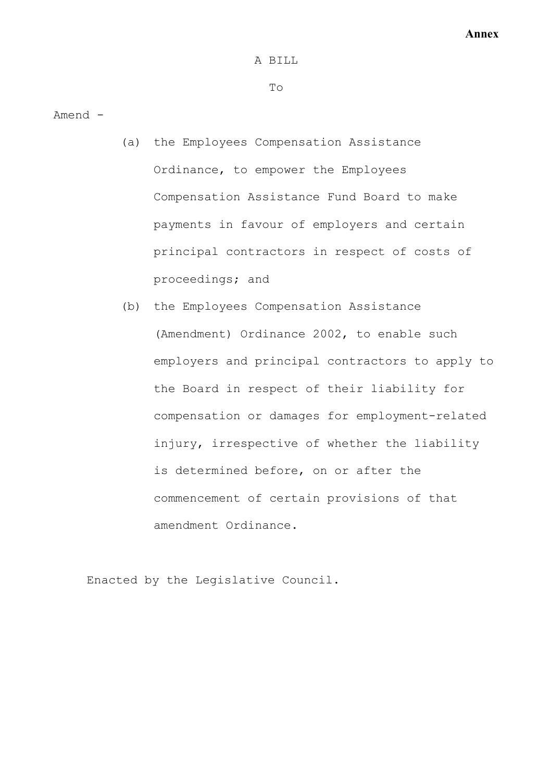#### A BILL

#### To

Amend -

- (a) the Employees Compensation Assistance Ordinance, to empower the Employees Compensation Assistance Fund Board to make payments in favour of employers and certain principal contractors in respect of costs of proceedings; and
- (b) the Employees Compensation Assistance (Amendment) Ordinance 2002, to enable such employers and principal contractors to apply to the Board in respect of their liability for compensation or damages for employment-related injury, irrespective of whether the liability is determined before, on or after the commencement of certain provisions of that amendment Ordinance.

Enacted by the Legislative Council.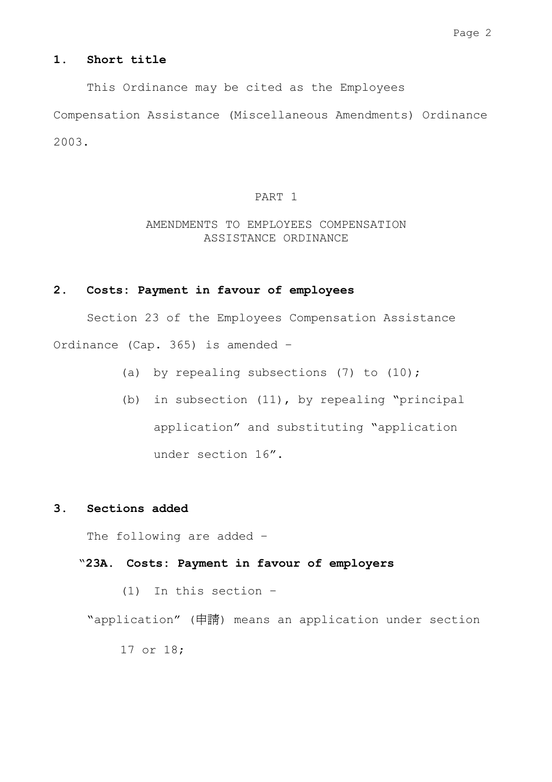### **1. Short title**

 This Ordinance may be cited as the Employees Compensation Assistance (Miscellaneous Amendments) Ordinance 2003.

#### PART 1

## AMENDMENTS TO EMPLOYEES COMPENSATION ASSISTANCE ORDINANCE

### **2. Costs: Payment in favour of employees**

 Section 23 of the Employees Compensation Assistance Ordinance (Cap. 365) is amended –

- (a) by repealing subsections  $(7)$  to  $(10)$ ;
- (b) in subsection (11), by repealing "principal application" and substituting "application under section 16".

### **3. Sections added**

The following are added –

"**23A. Costs: Payment in favour of employers** 

(1) In this section –

"application" (申請) means an application under section

17 or 18;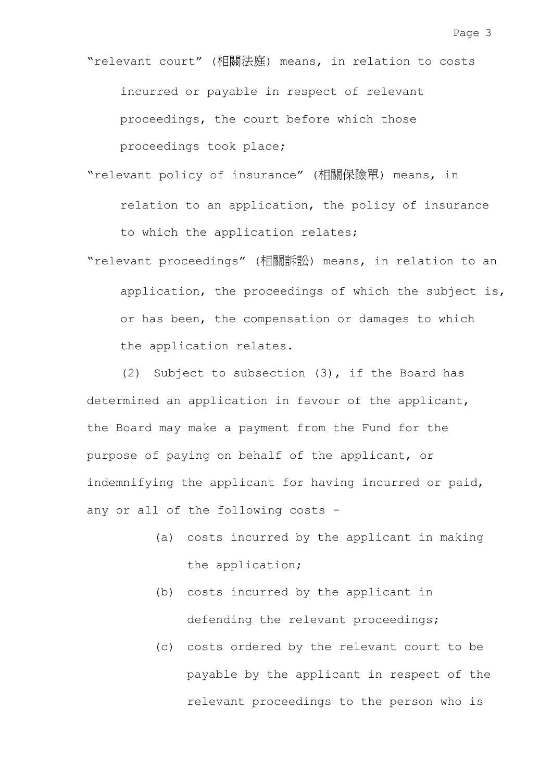"relevant court" (相關法庭) means, in relation to costs incurred or payable in respect of relevant proceedings, the court before which those proceedings took place;

- "relevant policy of insurance" (相關保險單) means, in relation to an application, the policy of insurance to which the application relates;
- "relevant proceedings" (相關訴訟) means, in relation to an application, the proceedings of which the subject is, or has been, the compensation or damages to which the application relates.

(2) Subject to subsection (3), if the Board has determined an application in favour of the applicant, the Board may make a payment from the Fund for the purpose of paying on behalf of the applicant, or indemnifying the applicant for having incurred or paid, any or all of the following costs -

- (a) costs incurred by the applicant in making the application;
- (b) costs incurred by the applicant in defending the relevant proceedings;
- (c) costs ordered by the relevant court to be payable by the applicant in respect of the relevant proceedings to the person who is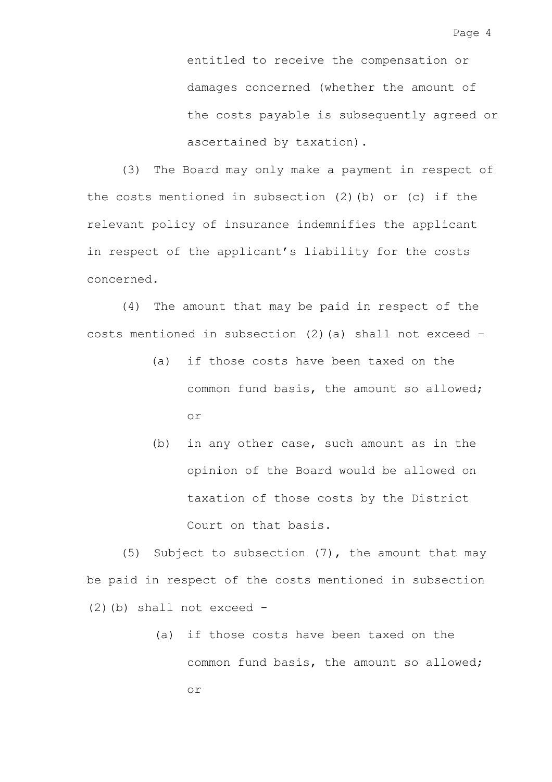entitled to receive the compensation or damages concerned (whether the amount of the costs payable is subsequently agreed or ascertained by taxation).

(3) The Board may only make a payment in respect of the costs mentioned in subsection (2)(b) or (c) if the relevant policy of insurance indemnifies the applicant in respect of the applicant's liability for the costs concerned.

(4) The amount that may be paid in respect of the costs mentioned in subsection (2)(a) shall not exceed –

- (a) if those costs have been taxed on the common fund basis, the amount so allowed; or
- (b) in any other case, such amount as in the opinion of the Board would be allowed on taxation of those costs by the District Court on that basis.

(5) Subject to subsection (7), the amount that may be paid in respect of the costs mentioned in subsection  $(2)$  (b) shall not exceed -

> (a) if those costs have been taxed on the common fund basis, the amount so allowed; or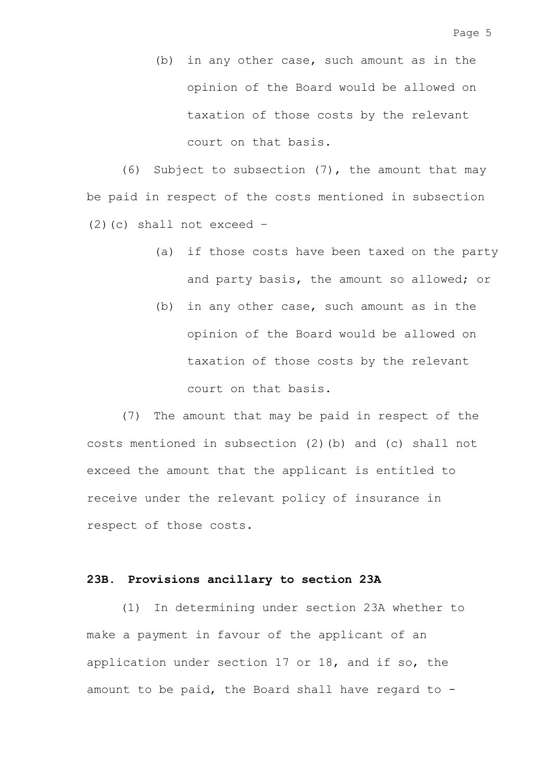(b) in any other case, such amount as in the opinion of the Board would be allowed on taxation of those costs by the relevant court on that basis.

(6) Subject to subsection (7), the amount that may be paid in respect of the costs mentioned in subsection  $(2)(c)$  shall not exceed -

- (a) if those costs have been taxed on the party and party basis, the amount so allowed; or
- (b) in any other case, such amount as in the opinion of the Board would be allowed on taxation of those costs by the relevant court on that basis.

(7) The amount that may be paid in respect of the costs mentioned in subsection (2)(b) and (c) shall not exceed the amount that the applicant is entitled to receive under the relevant policy of insurance in respect of those costs.

### **23B. Provisions ancillary to section 23A**

(1) In determining under section 23A whether to make a payment in favour of the applicant of an application under section 17 or 18, and if so, the amount to be paid, the Board shall have regard to -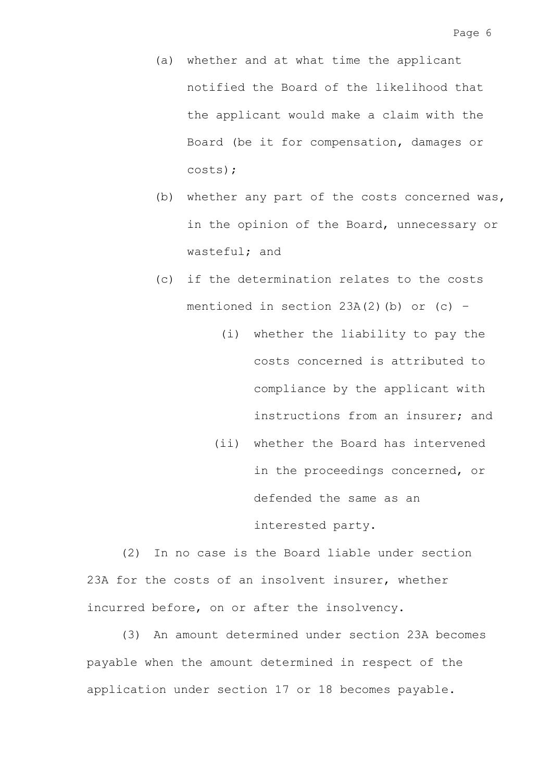- (a) whether and at what time the applicant notified the Board of the likelihood that the applicant would make a claim with the Board (be it for compensation, damages or costs);
- (b) whether any part of the costs concerned was, in the opinion of the Board, unnecessary or wasteful; and
- (c) if the determination relates to the costs mentioned in section  $23A(2)$  (b) or (c) -
	- (i) whether the liability to pay the costs concerned is attributed to compliance by the applicant with instructions from an insurer; and
	- (ii) whether the Board has intervened in the proceedings concerned, or defended the same as an interested party.

(2) In no case is the Board liable under section 23A for the costs of an insolvent insurer, whether incurred before, on or after the insolvency.

(3) An amount determined under section 23A becomes payable when the amount determined in respect of the application under section 17 or 18 becomes payable.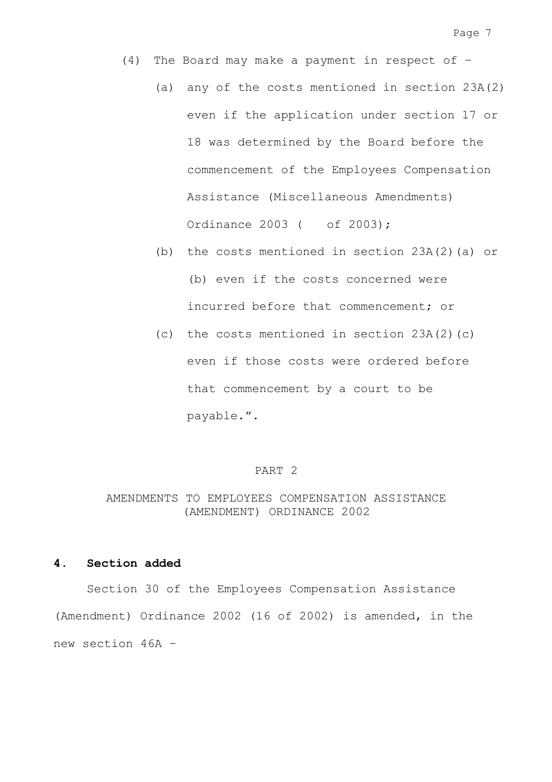- (4) The Board may make a payment in respect of
	- (a) any of the costs mentioned in section 23A(2) even if the application under section 17 or 18 was determined by the Board before the commencement of the Employees Compensation Assistance (Miscellaneous Amendments) Ordinance 2003 ( of 2003);
	- (b) the costs mentioned in section 23A(2)(a) or (b) even if the costs concerned were incurred before that commencement; or
	- (c) the costs mentioned in section 23A(2)(c) even if those costs were ordered before that commencement by a court to be payable.".

#### PART 2

### AMENDMENTS TO EMPLOYEES COMPENSATION ASSISTANCE (AMENDMENT) ORDINANCE 2002

### **4. Section added**

 Section 30 of the Employees Compensation Assistance (Amendment) Ordinance 2002 (16 of 2002) is amended, in the new section 46A –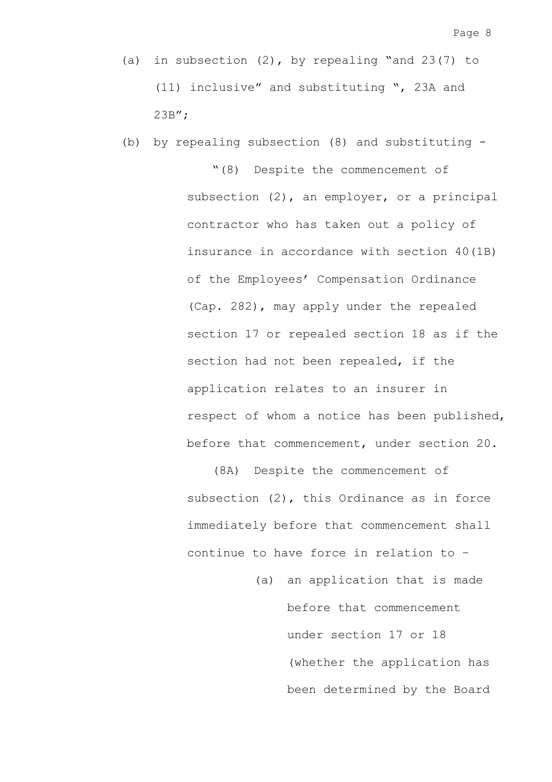(b) by repealing subsection (8) and substituting -

"(8) Despite the commencement of subsection (2), an employer, or a principal contractor who has taken out a policy of insurance in accordance with section 40(1B) of the Employees' Compensation Ordinance (Cap. 282), may apply under the repealed section 17 or repealed section 18 as if the section had not been repealed, if the application relates to an insurer in respect of whom a notice has been published, before that commencement, under section 20.

(8A) Despite the commencement of subsection (2), this Ordinance as in force immediately before that commencement shall continue to have force in relation to –

> (a) an application that is made before that commencement under section 17 or 18 (whether the application has been determined by the Board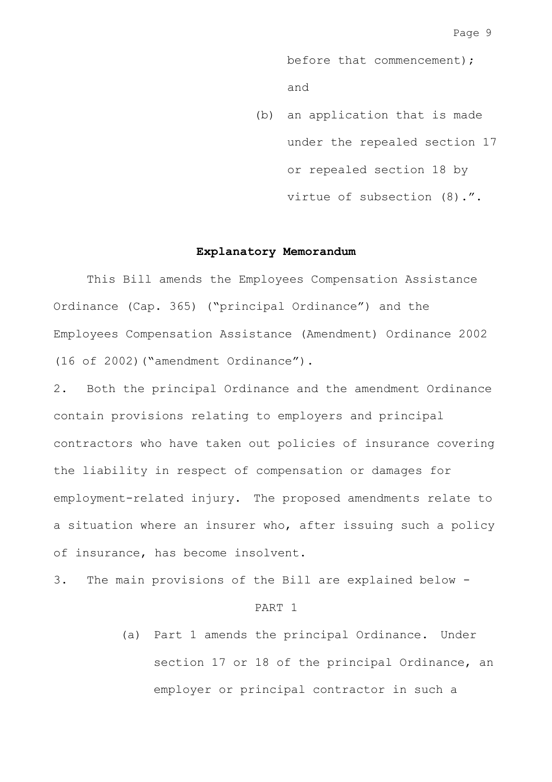before that commencement); and

(b) an application that is made under the repealed section 17 or repealed section 18 by virtue of subsection (8).".

#### **Explanatory Memorandum**

 This Bill amends the Employees Compensation Assistance Ordinance (Cap. 365) ("principal Ordinance") and the Employees Compensation Assistance (Amendment) Ordinance 2002 (16 of 2002)("amendment Ordinance").

2. Both the principal Ordinance and the amendment Ordinance contain provisions relating to employers and principal contractors who have taken out policies of insurance covering the liability in respect of compensation or damages for employment-related injury. The proposed amendments relate to a situation where an insurer who, after issuing such a policy of insurance, has become insolvent.

3. The main provisions of the Bill are explained below -

#### PART 1

(a) Part 1 amends the principal Ordinance. Under section 17 or 18 of the principal Ordinance, an employer or principal contractor in such a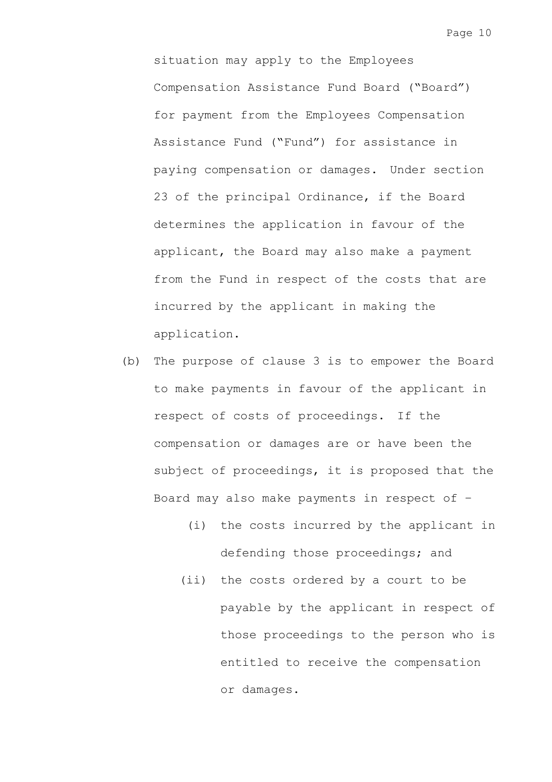situation may apply to the Employees Compensation Assistance Fund Board ("Board") for payment from the Employees Compensation Assistance Fund ("Fund") for assistance in paying compensation or damages. Under section 23 of the principal Ordinance, if the Board determines the application in favour of the applicant, the Board may also make a payment from the Fund in respect of the costs that are incurred by the applicant in making the application.

- (b) The purpose of clause 3 is to empower the Board to make payments in favour of the applicant in respect of costs of proceedings. If the compensation or damages are or have been the subject of proceedings, it is proposed that the Board may also make payments in respect of –
	- (i) the costs incurred by the applicant in defending those proceedings; and
	- (ii) the costs ordered by a court to be payable by the applicant in respect of those proceedings to the person who is entitled to receive the compensation or damages.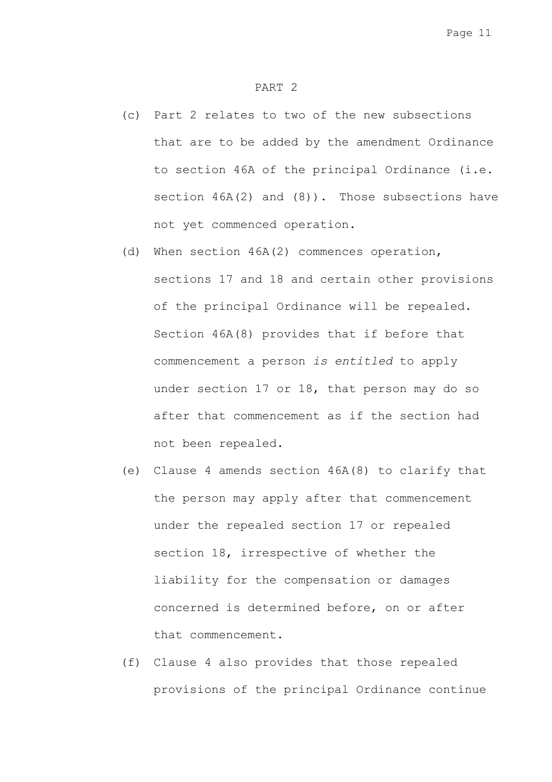#### PART 2

- (c) Part 2 relates to two of the new subsections that are to be added by the amendment Ordinance to section 46A of the principal Ordinance (i.e. section  $46A(2)$  and  $(8)$ ). Those subsections have not yet commenced operation.
- (d) When section 46A(2) commences operation, sections 17 and 18 and certain other provisions of the principal Ordinance will be repealed. Section 46A(8) provides that if before that commencement a person *is entitled* to apply under section 17 or 18, that person may do so after that commencement as if the section had not been repealed.
- (e) Clause 4 amends section 46A(8) to clarify that the person may apply after that commencement under the repealed section 17 or repealed section 18, irrespective of whether the liability for the compensation or damages concerned is determined before, on or after that commencement.
- (f) Clause 4 also provides that those repealed provisions of the principal Ordinance continue